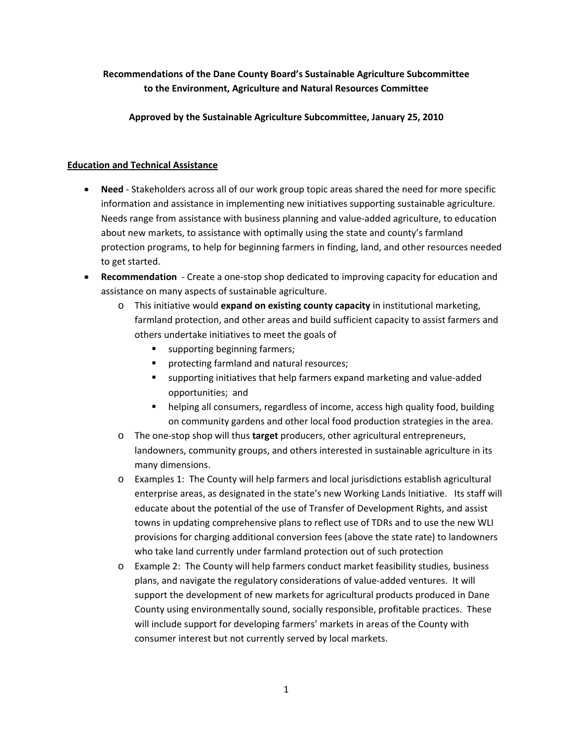## **Recommendations of the Dane County Board's Sustainable Agriculture Subcommittee to the Environment, Agriculture and Natural Resources Committee**

**Approved by the Sustainable Agriculture Subcommittee, January 25, 2010**

## **Education and Technical Assistance**

- **Need** ‐ Stakeholders across all of our work group topic areas shared the need for more specific information and assistance in implementing new initiatives supporting sustainable agriculture. Needs range from assistance with business planning and value‐added agriculture, to education about new markets, to assistance with optimally using the state and county's farmland protection programs, to help for beginning farmers in finding, land, and other resources needed to get started.
- **Recommendation** Create a one-stop shop dedicated to improving capacity for education and assistance on many aspects of sustainable agriculture.
	- o This initiative would **expand on existing county capacity** in institutional marketing, farmland protection, and other areas and build sufficient capacity to assist farmers and others undertake initiatives to meet the goals of
		- **supporting beginning farmers;**
		- **Perofecting farmland and natural resources;**
		- supporting initiatives that help farmers expand marketing and value-added opportunities; and
		- helping all consumers, regardless of income, access high quality food, building on community gardens and other local food production strategies in the area.
	- o The one‐stop shop will thus **target** producers, other agricultural entrepreneurs, landowners, community groups, and others interested in sustainable agriculture in its many dimensions.
	- o Examples 1: The County will help farmers and local jurisdictions establish agricultural enterprise areas, as designated in the state's new Working Lands Initiative. Its staff will educate about the potential of the use of Transfer of Development Rights, and assist towns in updating comprehensive plans to reflect use of TDRs and to use the new WLI provisions for charging additional conversion fees (above the state rate) to landowners who take land currently under farmland protection out of such protection
	- o Example 2: The County will help farmers conduct market feasibility studies, business plans, and navigate the regulatory considerations of value‐added ventures. It will support the development of new markets for agricultural products produced in Dane County using environmentally sound, socially responsible, profitable practices. These will include support for developing farmers' markets in areas of the County with consumer interest but not currently served by local markets.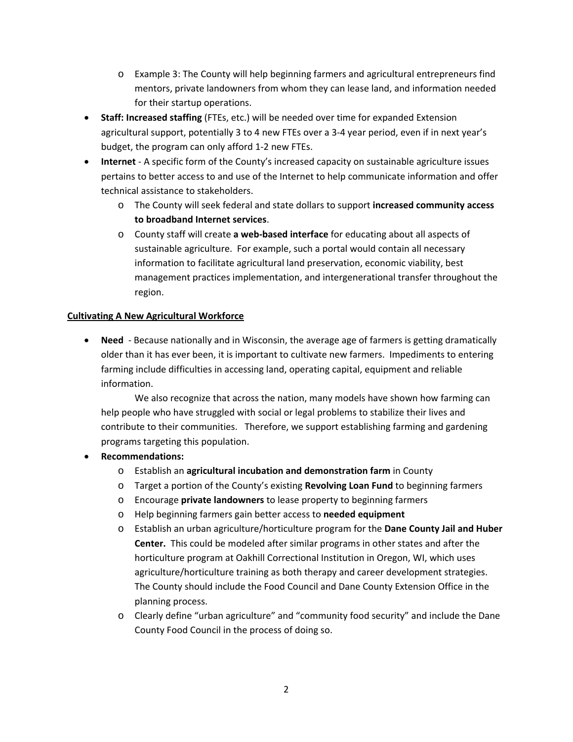- o Example 3: The County will help beginning farmers and agricultural entrepreneurs find mentors, private landowners from whom they can lease land, and information needed for their startup operations.
- **Staff: Increased staffing** (FTEs, etc.) will be needed over time for expanded Extension agricultural support, potentially 3 to 4 new FTEs over a 3‐4 year period, even if in next year's budget, the program can only afford 1‐2 new FTEs.
- **Internet** ‐ A specific form of the County's increased capacity on sustainable agriculture issues pertains to better access to and use of the Internet to help communicate information and offer technical assistance to stakeholders.
	- o The County will seek federal and state dollars to support **increased community access to broadband Internet services**.
	- o County staff will create **a web‐based interface** for educating about all aspects of sustainable agriculture. For example, such a portal would contain all necessary information to facilitate agricultural land preservation, economic viability, best management practices implementation, and intergenerational transfer throughout the region.

## **Cultivating A New Agricultural Workforce**

• **Need** - Because nationally and in Wisconsin, the average age of farmers is getting dramatically older than it has ever been, it is important to cultivate new farmers. Impediments to entering farming include difficulties in accessing land, operating capital, equipment and reliable information.

We also recognize that across the nation, many models have shown how farming can help people who have struggled with social or legal problems to stabilize their lives and contribute to their communities. Therefore, we support establishing farming and gardening programs targeting this population.

- **Recommendations:**
	- o Establish an **agricultural incubation and demonstration farm** in County
	- o Target a portion of the County's existing **Revolving Loan Fund** to beginning farmers
	- o Encourage **private landowners** to lease property to beginning farmers
	- o Help beginning farmers gain better access to **needed equipment**
	- o Establish an urban agriculture/horticulture program for the **Dane County Jail and Huber Center.** This could be modeled after similar programs in other states and after the horticulture program at Oakhill Correctional Institution in Oregon, WI, which uses agriculture/horticulture training as both therapy and career development strategies. The County should include the Food Council and Dane County Extension Office in the planning process.
	- o Clearly define "urban agriculture" and "community food security" and include the Dane County Food Council in the process of doing so.